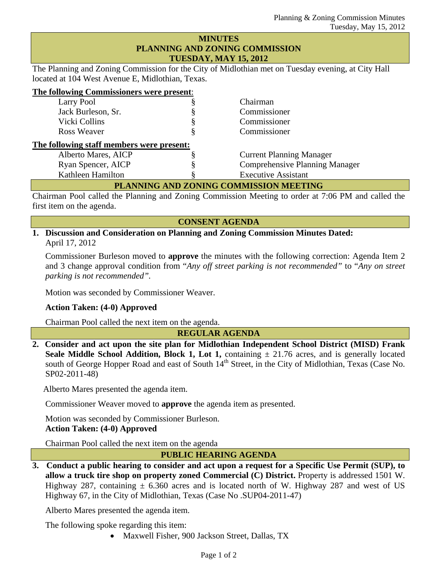## **MINUTES PLANNING AND ZONING COMMISSION TUESDAY, MAY 15, 2012**

The Planning and Zoning Commission for the City of Midlothian met on Tuesday evening, at City Hall located at 104 West Avenue E, Midlothian, Texas.

| The following Commissioners were present: |  |
|-------------------------------------------|--|
|                                           |  |

| Larry Pool                                | 8 | Chairman                              |  |  |
|-------------------------------------------|---|---------------------------------------|--|--|
| Jack Burleson, Sr.                        | 8 | Commissioner                          |  |  |
| Vicki Collins                             | 8 | Commissioner                          |  |  |
| Ross Weaver                               | ş | Commissioner                          |  |  |
| The following staff members were present: |   |                                       |  |  |
| Alberto Mares, AICP                       |   | <b>Current Planning Manager</b>       |  |  |
| Ryan Spencer, AICP                        |   | <b>Comprehensive Planning Manager</b> |  |  |
| Kathleen Hamilton                         |   | <b>Executive Assistant</b>            |  |  |
| PLANNING AND ZONING COMMISSION MEETING    |   |                                       |  |  |

Chairman Pool called the Planning and Zoning Commission Meeting to order at 7:06 PM and called the first item on the agenda.

### **CONSENT AGENDA**

**1. Discussion and Consideration on Planning and Zoning Commission Minutes Dated:**  April 17, 2012

Commissioner Burleson moved to **approve** the minutes with the following correction: Agenda Item 2 and 3 change approval condition from "*Any off street parking is not recommended"* to "*Any on street parking is not recommended".* 

Motion was seconded by Commissioner Weaver.

## **Action Taken: (4-0) Approved**

Chairman Pool called the next item on the agenda.

**REGULAR AGENDA** 

**2. Consider and act upon the site plan for Midlothian Independent School District (MISD) Frank Seale Middle School Addition, Block 1, Lot 1,** containing  $\pm$  21.76 acres, and is generally located south of George Hopper Road and east of South  $14<sup>th</sup>$  Street, in the City of Midlothian, Texas (Case No. SP02-2011-48)

Alberto Mares presented the agenda item.

Commissioner Weaver moved to **approve** the agenda item as presented.

Motion was seconded by Commissioner Burleson.

# **Action Taken: (4-0) Approved**

Chairman Pool called the next item on the agenda

## **PUBLIC HEARING AGENDA**

**3. Conduct a public hearing to consider and act upon a request for a Specific Use Permit (SUP), to allow a truck tire shop on property zoned Commercial (C) District.** Property is addressed 1501 W. Highway 287, containing  $\pm$  6.360 acres and is located north of W. Highway 287 and west of US Highway 67, in the City of Midlothian, Texas (Case No .SUP04-2011-47)

Alberto Mares presented the agenda item.

The following spoke regarding this item:

• Maxwell Fisher, 900 Jackson Street, Dallas, TX